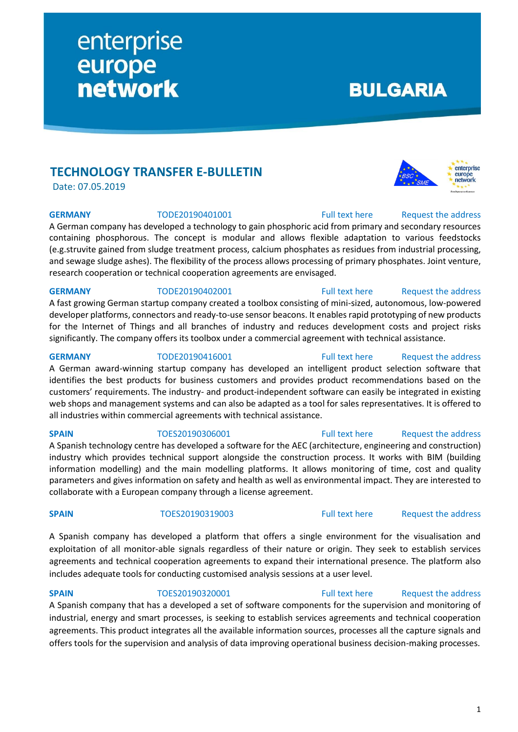## **TECHNOLOGY TRANSFER E-BULLETIN**

enterprise

**network** 

europe

Date: 07.05.2019

A German company has developed a technology to gain phosphoric acid from primary and secondary resources containing phosphorous. The concept is modular and allows flexible adaptation to various feedstocks (e.g.struvite gained from sludge treatment process, calcium phosphates as residues from industrial processing, and sewage sludge ashes). The flexibility of the process allows processing of primary phosphates. Joint venture, research cooperation or technical cooperation agreements are envisaged.

A fast growing German startup company created a toolbox consisting of mini-sized, autonomous, low-powered developer platforms, connectors and ready-to-use sensor beacons. It enables rapid prototyping of new products for the Internet of Things and all branches of industry and reduces development costs and project risks significantly. The company offers its toolbox under a commercial agreement with technical assistance.

A German award-winning startup company has developed an intelligent product selection software that identifies the best products for business customers and provides product recommendations based on the customers' requirements. The industry- and product-independent software can easily be integrated in existing web shops and management systems and can also be adapted as a tool for sales representatives. It is offered to all industries within commercial agreements with technical assistance.

## **SPAIN** TOES20190306001 [Full text here](https://een.ec.europa.eu/tools/services/PRO/Profile/Detail/7eb0941b-a9f4-4dc4-a209-4818f0859b50) Request [the address](http://www.een.bg/index.php?option=com_rsform&formId=13)

## A Spanish technology centre has developed a software for the AEC (architecture, engineering and construction) industry which provides technical support alongside the construction process. It works with BIM (building information modelling) and the main modelling platforms. It allows monitoring of time, cost and quality parameters and gives information on safety and health as well as environmental impact. They are interested to collaborate with a European company through a license agreement.

## **SPAIN** TOES20190319003 [Full text here](https://een.ec.europa.eu/tools/services/PRO/Profile/Detail/5bfc10c0-d327-49fc-b393-e43d6cee01ed) Request [the address](http://www.een.bg/index.php?option=com_rsform&formId=13)

A Spanish company has developed a platform that offers a single environment for the visualisation and exploitation of all monitor-able signals regardless of their nature or origin. They seek to establish services agreements and technical cooperation agreements to expand their international presence. The platform also includes adequate tools for conducting customised analysis sessions at a user level.

## **SPAIN** TOES20190320001 [Full text here](https://een.ec.europa.eu/tools/services/PRO/Profile/Detail/cd6ff0f7-d7d3-4ab6-8476-ade745e8b356) Request the address

## A Spanish company that has a developed a set of software components for the supervision and monitoring of industrial, energy and smart processes, is seeking to establish services agreements and technical cooperation agreements. This product integrates all the available information sources, processes all the capture signals and offers tools for the supervision and analysis of data improving operational business decision-making processes.

## **GERMANY** TODE20190402001 [Full text here](https://een.ec.europa.eu/tools/services/PRO/Profile/Detail/694f2dcd-0397-4956-8d3b-9c04e6ce745b) Request the address

# **GERMANY** TODE20190416001 [Full text here](https://een.ec.europa.eu/tools/services/PRO/Profile/Detail/81ca319f-8c6b-4547-827a-1170f8c6f2de) Request the address



**BULGARIA** 

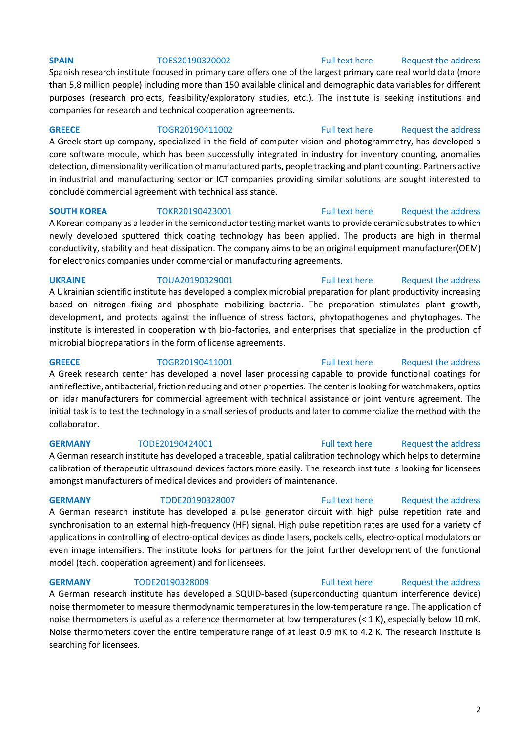## **SPAIN** TOES20190320002 [Full text here](https://een.ec.europa.eu/tools/services/PRO/Profile/Detail/a09b3c9e-1315-424c-b605-7b9966b59f32) Request the address

Spanish research institute focused in primary care offers one of the largest primary care real world data (more than 5,8 million people) including more than 150 available clinical and demographic data variables for different purposes (research projects, feasibility/exploratory studies, etc.). The institute is seeking institutions and companies for research and technical cooperation agreements.

**GREECE** TOGR20190411002 [Full text here](https://een.ec.europa.eu/tools/services/PRO/Profile/Detail/aae33fe6-30f1-4cbc-a447-6b44a07fb89f) Request [the address](http://www.een.bg/index.php?option=com_rsform&formId=13) A Greek start-up company, specialized in the field of computer vision and photogrammetry, has developed a core software module, which has been successfully integrated in industry for inventory counting, anomalies detection, dimensionality verification of manufactured parts, people tracking and plant counting. Partners active in industrial and manufacturing sector or ICT companies providing similar solutions are sought interested to conclude commercial agreement with technical assistance.

A Korean company as a leader in the semiconductor testing market wants to provide ceramic substrates to which newly developed sputtered thick coating technology has been applied. The products are high in thermal conductivity, stability and heat dissipation. The company aims to be an original equipment manufacturer(OEM) for electronics companies under commercial or manufacturing agreements.

A Ukrainian scientific institute has developed a complex microbial preparation for plant productivity increasing based on nitrogen fixing and phosphate mobilizing bacteria. The preparation stimulates plant growth, development, and protects against the influence of stress factors, phytopathogenes and phytophages. The institute is interested in cooperation with bio-factories, and enterprises that specialize in the production of microbial biopreparations in the form of license agreements.

## **GREECE** TOGR20190411001 [Full text here](https://een.ec.europa.eu/tools/services/PRO/Profile/Detail/0d6d81ca-edf4-40b6-8517-acd28151813a) Request the address

A Greek research center has developed a novel laser processing capable to provide functional coatings for antireflective, antibacterial, friction reducing and other properties. The center is looking for watchmakers, optics or lidar manufacturers for commercial agreement with technical assistance or joint venture agreement. The initial task is to test the technology in a small series of products and later to commercialize the method with the collaborator.

## **GERMANY** TODE20190424001 [Full text here](https://een.ec.europa.eu/tools/services/PRO/Profile/Detail/2ad9038d-1c41-4d94-9cb0-4dfa61830900) Request the address

A German research institute has developed a traceable, spatial calibration technology which helps to determine calibration of therapeutic ultrasound devices factors more easily. The research institute is looking for licensees amongst manufacturers of medical devices and providers of maintenance.

**GERMANY** TODE20190328007 [Full text here](https://een.ec.europa.eu/tools/services/PRO/Profile/Detail/d274a210-c169-447e-bf66-fe9e1fb72a4f) Request [the address](http://www.een.bg/index.php?option=com_rsform&formId=13)

A German research institute has developed a pulse generator circuit with high pulse repetition rate and synchronisation to an external high-frequency (HF) signal. High pulse repetition rates are used for a variety of applications in controlling of electro-optical devices as diode lasers, pockels cells, electro-optical modulators or even image intensifiers. The institute looks for partners for the joint further development of the functional model (tech. cooperation agreement) and for licensees.

## **GERMANY** TODE20190328009 **Full text here** Request the address

A German research institute has developed a SQUID-based (superconducting quantum interference device) noise thermometer to measure thermodynamic temperatures in the low-temperature range. The application of noise thermometers is useful as a reference thermometer at low temperatures (< 1 K), especially below 10 mK. Noise thermometers cover the entire temperature range of at least 0.9 mK to 4.2 K. The research institute is searching for licensees.

## **UKRAINE** TOUA20190329001 [Full text here](https://een.ec.europa.eu/tools/services/PRO/Profile/Detail/cde082e5-bfd0-4245-b4de-0c8d24ae3014) Request the address

## **SOUTH KOREA** TOKR20190423001 [Full text here](https://een.ec.europa.eu/tools/services/PRO/Profile/Detail/9a05094a-c8df-458a-a926-55fa8a61c5bf) Request [the address](http://www.een.bg/index.php?option=com_rsform&formId=13)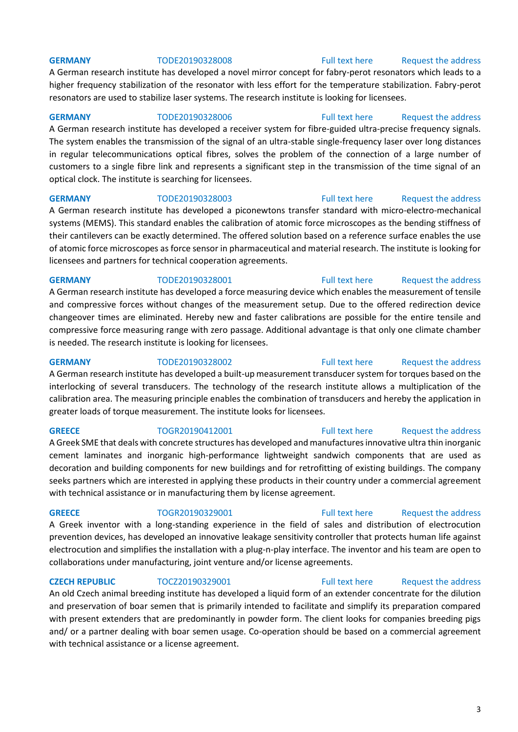A German research institute has developed a novel mirror concept for fabry-perot resonators which leads to a higher frequency stabilization of the resonator with less effort for the temperature stabilization. Fabry-perot resonators are used to stabilize laser systems. The research institute is looking for licensees.

## **GERMANY** TODE20190328006 [Full text here](https://een.ec.europa.eu/tools/services/PRO/Profile/Detail/a3342094-47be-4b49-8e38-4e76e3ac2751) Request the address

A German research institute has developed a receiver system for fibre-guided ultra-precise frequency signals. The system enables the transmission of the signal of an ultra-stable single-frequency laser over long distances in regular telecommunications optical fibres, solves the problem of the connection of a large number of customers to a single fibre link and represents a significant step in the transmission of the time signal of an optical clock. The institute is searching for licensees.

## **GERMANY** TODE20190328003 [Full text here](https://een.ec.europa.eu/tools/services/PRO/Profile/Detail/df12baae-abf0-450d-ae7f-fa0885a3d8d4) Request the address

A German research institute has developed a piconewtons transfer standard with micro-electro-mechanical systems (MEMS). This standard enables the calibration of atomic force microscopes as the bending stiffness of their cantilevers can be exactly determined. The offered solution based on a reference surface enables the use of atomic force microscopes as force sensor in pharmaceutical and material research. The institute is looking for licensees and partners for technical cooperation agreements.

## **GERMANY** TODE20190328001 [Full text here](https://een.ec.europa.eu/tools/services/PRO/Profile/Detail/b1bf05fa-1ad3-49cb-b879-e2b200c6009a) Request the address

A German research institute has developed a force measuring device which enables the measurement of tensile and compressive forces without changes of the measurement setup. Due to the offered redirection device changeover times are eliminated. Hereby new and faster calibrations are possible for the entire tensile and compressive force measuring range with zero passage. Additional advantage is that only one climate chamber is needed. The research institute is looking for licensees.

A German research institute has developed a built-up measurement transducer system for torques based on the interlocking of several transducers. The technology of the research institute allows a multiplication of the calibration area. The measuring principle enables the combination of transducers and hereby the application in greater loads of torque measurement. The institute looks for licensees.

## **GREECE** TOGR20190412001 [Full text here](https://een.ec.europa.eu/tools/services/PRO/Profile/Detail/acd294f6-47f6-4a28-bbb8-55febc4eb036) Request the address

A Greek SME that deals with concrete structures has developed and manufactures innovative ultra thin inorganic cement laminates and inorganic high-performance lightweight sandwich components that are used as decoration and building components for new buildings and for retrofitting of existing buildings. The company seeks partners which are interested in applying these products in their country under a commercial agreement with technical assistance or in manufacturing them by license agreement.

A Greek inventor with a long-standing experience in the field of sales and distribution of electrocution prevention devices, has developed an innovative leakage sensitivity controller that protects human life against electrocution and simplifies the installation with a plug-n-play interface. The inventor and his team are open to collaborations under manufacturing, joint venture and/or license agreements.

## **CZECH REPUBLIC** TOCZ20190329001 [Full text here](https://een.ec.europa.eu/tools/services/PRO/Profile/Detail/236fd7c4-966a-4817-b0fd-29305e27aefe) Request the address

An old Czech animal breeding institute has developed a liquid form of an extender concentrate for the dilution and preservation of boar semen that is primarily intended to facilitate and simplify its preparation compared with present extenders that are predominantly in powder form. The client looks for companies breeding pigs and/ or a partner dealing with boar semen usage. Co-operation should be based on a commercial agreement with technical assistance or a license agreement.

## **GERMANY** TODE20190328002 [Full text here](https://een.ec.europa.eu/tools/services/PRO/Profile/Detail/7e879f57-8266-4701-840a-d32e4774f8d2) Request the address

**GREECE** TOGR20190329001 [Full text here](https://een.ec.europa.eu/tools/services/PRO/Profile/Detail/5febccf0-bede-4462-92e6-ff11a615e497) Request the address

## **GERMANY** TODE20190328008 [Full text here](https://een.ec.europa.eu/tools/services/PRO/Profile/Detail/fe397f1e-ca3a-4cd8-a9e3-8035abd77de9) Request the address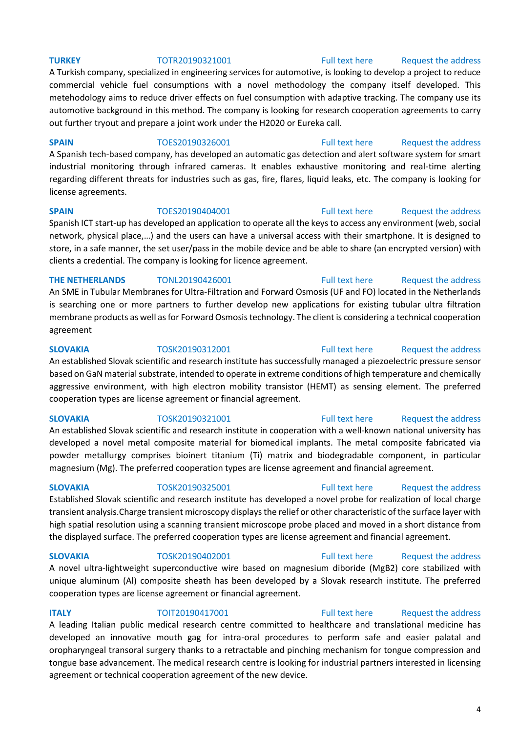## **TURKEY** TOTR20190321001 [Full text here](https://een.ec.europa.eu/tools/services/PRO/Profile/Detail/fcb8bd66-8b6f-45e7-8f04-8f5a469b24fb) Request the address

A Turkish company, specialized in engineering services for automotive, is looking to develop a project to reduce commercial vehicle fuel consumptions with a novel methodology the company itself developed. This metehodology aims to reduce driver effects on fuel consumption with adaptive tracking. The company use its automotive background in this method. The company is looking for research cooperation agreements to carry out further tryout and prepare a joint work under the H2020 or Eureka call.

## **SPAIN** TOES20190326001 [Full text here](https://een.ec.europa.eu/tools/services/PRO/Profile/Detail/ad54cb10-86fd-4f1b-a2f1-cda532099bd1) Request the address

A Spanish tech-based company, has developed an automatic gas detection and alert software system for smart industrial monitoring through infrared cameras. It enables exhaustive monitoring and real-time alerting regarding different threats for industries such as gas, fire, flares, liquid leaks, etc. The company is looking for license agreements.

## **SPAIN** TOES20190404001 [Full text here](https://een.ec.europa.eu/tools/services/PRO/Profile/Detail/53736d4e-34d8-42f7-b38e-990c9e0e24a7) Request the address

Spanish ICT start-up has developed an application to operate all the keys to access any environment (web, social network, physical place,…) and the users can have a universal access with their smartphone. It is designed to store, in a safe manner, the set user/pass in the mobile device and be able to share (an encrypted version) with clients a credential. The company is looking for licence agreement.

## **THE NETHERLANDS** TONL20190426001 [Full text here](https://een.ec.europa.eu/tools/services/PRO/Profile/Detail/2bb0c98b-9571-406a-9fe1-f2cce48aa80d) Request the address

An SME in Tubular Membranes for Ultra-Filtration and Forward Osmosis (UF and FO) located in the Netherlands is searching one or more partners to further develop new applications for existing tubular ultra filtration membrane products as well as for Forward Osmosis technology. The client is considering a technical cooperation agreement

An established Slovak scientific and research institute has successfully managed a piezoelectric pressure sensor based on GaN material substrate, intended to operate in extreme conditions of high temperature and chemically aggressive environment, with high electron mobility transistor (HEMT) as sensing element. The preferred cooperation types are license agreement or financial agreement.

## **SLOVAKIA** TOSK20190321001 [Full text here](https://een.ec.europa.eu/tools/services/PRO/Profile/Detail/451f5b09-90a8-4871-a419-e682b49de24b) Request the address

An established Slovak scientific and research institute in cooperation with a well-known national university has developed a novel metal composite material for biomedical implants. The metal composite fabricated via powder metallurgy comprises bioinert titanium (Ti) matrix and biodegradable component, in particular magnesium (Mg). The preferred cooperation types are license agreement and financial agreement.

## Established Slovak scientific and research institute has developed a novel probe for realization of local charge transient analysis.Charge transient microscopy displays the relief or other characteristic of the surface layer with high spatial resolution using a scanning transient microscope probe placed and moved in a short distance from the displayed surface. The preferred cooperation types are license agreement and financial agreement.

**SLOVAKIA** TOSK20190402001 [Full text here](https://een.ec.europa.eu/tools/services/PRO/Profile/Detail/280843f4-9873-4d9d-b750-dd8841497243) [Request the address](http://www.een.bg/index.php?option=com_rsform&formId=13)  A novel ultra-lightweight superconductive wire based on magnesium diboride (MgB2) core stabilized with unique aluminum (Al) composite sheath has been developed by a Slovak research institute. The preferred cooperation types are license agreement or financial agreement.

## **ITALY TOIT20190417001** [Full text here](https://een.ec.europa.eu/tools/services/PRO/Profile/Detail/afa55b93-bf91-4bef-af04-4e15a297a949) Request the address

A leading Italian public medical research centre committed to healthcare and translational medicine has developed an innovative mouth gag for intra-oral procedures to perform safe and easier palatal and oropharyngeal transoral surgery thanks to a retractable and pinching mechanism for tongue compression and tongue base advancement. The medical research centre is looking for industrial partners interested in licensing agreement or technical cooperation agreement of the new device.

## 4

**SLOVAKIA** TOSK20190312001 [Full text here](https://een.ec.europa.eu/tools/services/PRO/Profile/Detail/bf192ecc-972c-464b-b7cf-eeae8e1733b5) Request the address

## **SLOVAKIA** TOSK20190325001 [Full text here](https://een.ec.europa.eu/tools/services/PRO/Profile/Detail/288338eb-0c8f-4803-989b-7367c066db04) Request the address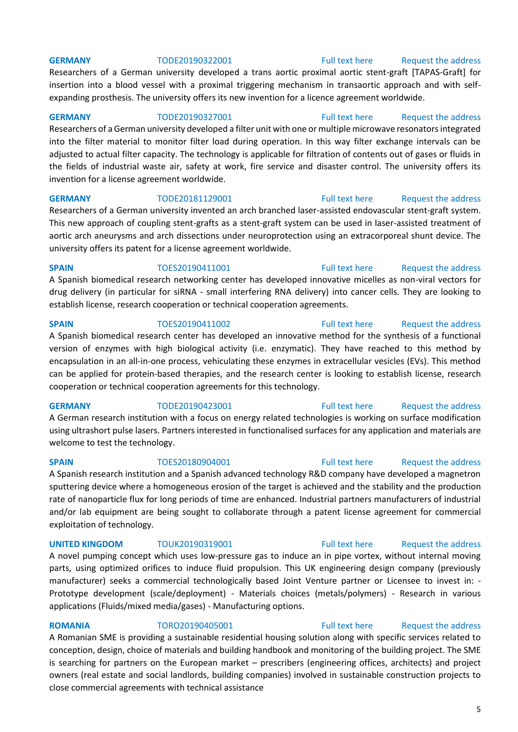## **GERMANY** TODE20190322001 [Full text here](https://een.ec.europa.eu/tools/services/PRO/Profile/Detail/3275ff59-d7c8-4182-8656-94e0e759abf9) Request the address

Researchers of a German university developed a trans aortic proximal aortic stent-graft [TAPAS-Graft] for insertion into a blood vessel with a proximal triggering mechanism in transaortic approach and with selfexpanding prosthesis. The university offers its new invention for a licence agreement worldwide.

## **GERMANY** TODE20190327001 [Full text here](https://een.ec.europa.eu/tools/services/PRO/Profile/Detail/90bab054-be63-451b-a62c-111aaa1de91f) Request the address

Researchers of a German university developed a filter unit with one or multiple microwave resonators integrated into the filter material to monitor filter load during operation. In this way filter exchange intervals can be adjusted to actual filter capacity. The technology is applicable for filtration of contents out of gases or fluids in the fields of industrial waste air, safety at work, fire service and disaster control. The university offers its invention for a license agreement worldwide.

**GERMANY** TODE20181129001 [Full text here](https://een.ec.europa.eu/tools/services/PRO/Profile/Detail/7b783dd2-662a-4a11-82a3-af0d55d723bd) Request the address Researchers of a German university invented an arch branched laser-assisted endovascular stent-graft system. This new approach of coupling stent-grafts as a stent-graft system can be used in laser-assisted treatment of aortic arch aneurysms and arch dissections under neuroprotection using an extracorporeal shunt device. The university offers its patent for a license agreement worldwide.

**SPAIN** TOES20190411001 [Full text here](https://een.ec.europa.eu/tools/services/PRO/Profile/Detail/c9f55528-7b40-49d5-8e57-97d4b46202ae) Request the address A Spanish biomedical research networking center has developed innovative micelles as non-viral vectors for drug delivery (in particular for siRNA - small interfering RNA delivery) into cancer cells. They are looking to establish license, research cooperation or technical cooperation agreements.

**SPAIN** TOES20190411002 [Full text here](https://een.ec.europa.eu/tools/services/PRO/Profile/Detail/792302cb-e783-48a3-b700-e554587611b3) Request the address

A Spanish biomedical research center has developed an innovative method for the synthesis of a functional version of enzymes with high biological activity (i.e. enzymatic). They have reached to this method by encapsulation in an all-in-one process, vehiculating these enzymes in extracellular vesicles (EVs). This method can be applied for protein-based therapies, and the research center is looking to establish license, research cooperation or technical cooperation agreements for this technology.

A German research institution with a focus on energy related technologies is working on surface modification using ultrashort pulse lasers. Partners interested in functionalised surfaces for any application and materials are welcome to test the technology.

sputtering device where a homogeneous erosion of the target is achieved and the stability and the production

rate of nanoparticle flux for long periods of time are enhanced. Industrial partners manufacturers of industrial

## **UNITED KINGDOM** TOUK20190319001 [Full text here](https://een.ec.europa.eu/tools/services/PRO/Profile/Detail/aeeac3d1-7d73-4567-b926-4806d4c53d4d) Request the address

exploitation of technology.

A novel pumping concept which uses low-pressure gas to induce an in pipe vortex, without internal moving parts, using optimized orifices to induce fluid propulsion. This UK engineering design company (previously manufacturer) seeks a commercial technologically based Joint Venture partner or Licensee to invest in: - Prototype development (scale/deployment) - Materials choices (metals/polymers) - Research in various applications (Fluids/mixed media/gases) - Manufacturing options.

**ROMANIA** TORO20190405001 [Full text here](https://een.ec.europa.eu/tools/services/PRO/Profile/Detail/ac6ae4a8-026e-45fb-9857-5e9833b3cc51) Request the address A Romanian SME is providing a sustainable residential housing solution along with specific services related to conception, design, choice of materials and building handbook and monitoring of the building project. The SME is searching for partners on the European market – prescribers (engineering offices, architects) and project owners (real estate and social landlords, building companies) involved in sustainable construction projects to close commercial agreements with technical assistance

## A Spanish research institution and a Spanish advanced technology R&D company have developed a magnetron

## **GERMANY** TODE20190423001 [Full text here](https://een.ec.europa.eu/tools/services/PRO/Profile/Detail/cd39201c-5802-4a32-a440-db0e9029a82e) Request the address

## **SPAIN** TOES20180904001 [Full text here](https://een.ec.europa.eu/tools/services/PRO/Profile/Detail/27779b3a-79d8-41d8-b415-d44bcd9621ab) Request the address

and/or lab equipment are being sought to collaborate through a patent license agreement for commercial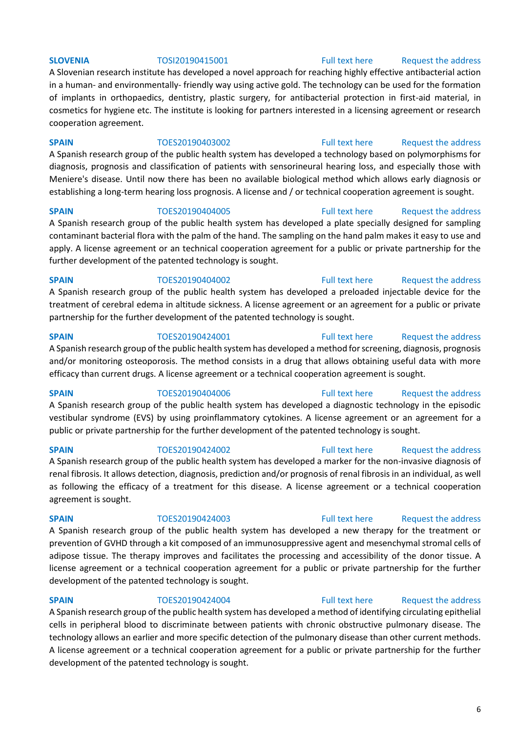## A Slovenian research institute has developed a novel approach for reaching highly effective antibacterial action in a human- and environmentally- friendly way using active gold. The technology can be used for the formation of implants in orthopaedics, dentistry, plastic surgery, for antibacterial protection in first-aid material, in cosmetics for hygiene etc. The institute is looking for partners interested in a licensing agreement or research cooperation agreement.

## **SPAIN** TOES20190403002 [Full text here](https://een.ec.europa.eu/tools/services/PRO/Profile/Detail/eea3e58a-09ad-4780-a3af-932de6fea398) Request the address

A Spanish research group of the public health system has developed a technology based on polymorphisms for diagnosis, prognosis and classification of patients with sensorineural hearing loss, and especially those with Meniere's disease. Until now there has been no available biological method which allows early diagnosis or establishing a long-term hearing loss prognosis. A license and / or technical cooperation agreement is sought.

A Spanish research group of the public health system has developed a plate specially designed for sampling contaminant bacterial flora with the palm of the hand. The sampling on the hand palm makes it easy to use and apply. A license agreement or an technical cooperation agreement for a public or private partnership for the further development of the patented technology is sought.

## **SPAIN** TOES20190404002 [Full text here](https://een.ec.europa.eu/tools/services/PRO/Profile/Detail/a4c9735a-6373-46cb-8e92-ba9df7c79108) Request the address A Spanish research group of the public health system has developed a preloaded injectable device for the treatment of cerebral edema in altitude sickness. A license agreement or an agreement for a public or private partnership for the further development of the patented technology is sought.

## **SPAIN** TOES20190424001 [Full text here](https://een.ec.europa.eu/tools/services/PRO/Profile/Detail/a0cbb5dd-c62a-4208-b43e-ba6f22f9518e) Request the address A Spanish research group of the public health system has developed a method for screening, diagnosis, prognosis and/or monitoring osteoporosis. The method consists in a drug that allows obtaining useful data with more efficacy than current drugs. A license agreement or a technical cooperation agreement is sought.

## **SPAIN** TOES20190404006 [Full text here](https://een.ec.europa.eu/tools/services/PRO/Profile/Detail/6804744b-e24c-4392-97f3-bedc4a13a0f0) Request the address

A Spanish research group of the public health system has developed a diagnostic technology in the episodic vestibular syndrome (EVS) by using proinflammatory cytokines. A license agreement or an agreement for a public or private partnership for the further development of the patented technology is sought.

## **SPAIN** TOES20190424002 [Full text here](https://een.ec.europa.eu/tools/services/PRO/Profile/Detail/d31cf7f2-74fd-4b3e-a4b8-2da3c044e00e) Request the address A Spanish research group of the public health system has developed a marker for the non-invasive diagnosis of renal fibrosis. It allows detection, diagnosis, prediction and/or prognosis of renal fibrosis in an individual, as well as following the efficacy of a treatment for this disease. A license agreement or a technical cooperation agreement is sought.

## A Spanish research group of the public health system has developed a new therapy for the treatment or prevention of GVHD through a kit composed of an immunosuppressive agent and mesenchymal stromal cells of adipose tissue. The therapy improves and facilitates the processing and accessibility of the donor tissue. A license agreement or a technical cooperation agreement for a public or private partnership for the further development of the patented technology is sought.

## **SPAIN** TOES20190424004 [Full text here](https://een.ec.europa.eu/tools/services/PRO/Profile/Detail/53dea360-5940-4c41-b0e9-e7edcfdedd1e) Request the address A Spanish research group of the public health system has developed a method of identifying circulating epithelial cells in peripheral blood to discriminate between patients with chronic obstructive pulmonary disease. The technology allows an earlier and more specific detection of the pulmonary disease than other current methods. A license agreement or a technical cooperation agreement for a public or private partnership for the further development of the patented technology is sought.

## 6

## **SLOVENIA** TOSI20190415001 [Full text here](https://een.ec.europa.eu/tools/services/PRO/Profile/Detail/6a299f88-430f-4dcc-9a07-fb9f9f194b84) Request the address

## **SPAIN** TOES20190404005 [Full text here](https://een.ec.europa.eu/tools/services/PRO/Profile/Detail/a2b88555-462a-4ccc-91fd-90b3b2a56c8e) Request the address

## **SPAIN** TOES20190424003 [Full text here](https://een.ec.europa.eu/tools/services/PRO/Profile/Detail/039ca9fc-3f19-49ca-b62e-c333b4730551) Request the address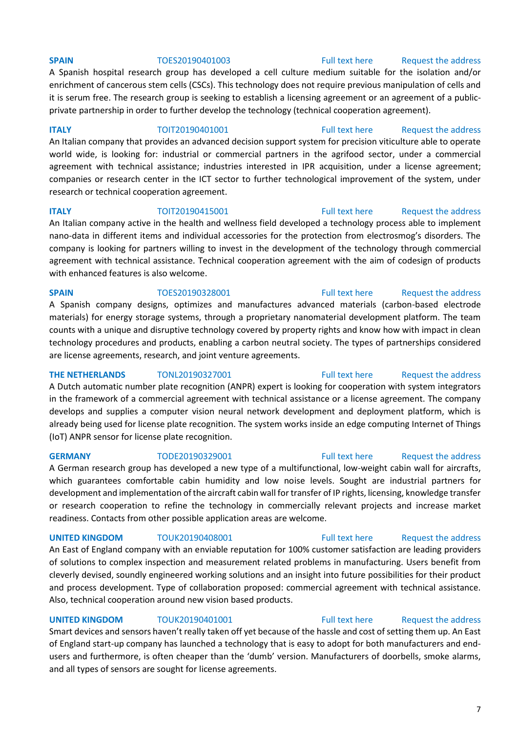## **SPAIN** TOES20190401003 [Full text here](https://een.ec.europa.eu/tools/services/PRO/Profile/Detail/bb120ffe-2058-4c56-b324-810953684a89) Request the address

A Spanish hospital research group has developed a cell culture medium suitable for the isolation and/or enrichment of cancerous stem cells (CSCs). This technology does not require previous manipulation of cells and it is serum free. The research group is seeking to establish a licensing agreement or an agreement of a publicprivate partnership in order to further develop the technology (technical cooperation agreement).

**ITALY TOIT20190401001** [Full text here](https://een.ec.europa.eu/tools/services/PRO/Profile/Detail/c235d82b-db98-48ca-b59b-7d83eec31f22) Request the address An Italian company that provides an advanced decision support system for precision viticulture able to operate world wide, is looking for: industrial or commercial partners in the agrifood sector, under a commercial agreement with technical assistance; industries interested in IPR acquisition, under a license agreement; companies or research center in the ICT sector to further technological improvement of the system, under research or technical cooperation agreement.

## **ITALY TOIT20190415001** [Full text here](https://een.ec.europa.eu/tools/services/PRO/Profile/Detail/cebaa52e-bd92-4739-95bc-378e80814dae) Request the address An Italian company active in the health and wellness field developed a technology process able to implement

nano-data in different items and individual accessories for the protection from electrosmog's disorders. The company is looking for partners willing to invest in the development of the technology through commercial agreement with technical assistance. Technical cooperation agreement with the aim of codesign of products with enhanced features is also welcome.

## **SPAIN** TOES20190328001 [Full text here](https://een.ec.europa.eu/tools/services/PRO/Profile/Detail/d408ab85-4bcc-4b7d-8876-d2d3a5949949) Request the address

A Spanish company designs, optimizes and manufactures advanced materials (carbon-based electrode materials) for energy storage systems, through a proprietary nanomaterial development platform. The team counts with a unique and disruptive technology covered by property rights and know how with impact in clean technology procedures and products, enabling a carbon neutral society. The types of partnerships considered are license agreements, research, and joint venture agreements.

**THE NETHERLANDS** TONL20190327001 [Full text here](https://een.ec.europa.eu/tools/services/PRO/Profile/Detail/4cec2fba-c834-4d8c-9f14-f3bd1f87d706) Request the address A Dutch automatic number plate recognition (ANPR) expert is looking for cooperation with system integrators in the framework of a commercial agreement with technical assistance or a license agreement. The company develops and supplies a computer vision neural network development and deployment platform, which is already being used for license plate recognition. The system works inside an edge computing Internet of Things (IoT) ANPR sensor for license plate recognition.

A German research group has developed a new type of a multifunctional, low-weight cabin wall for aircrafts, which guarantees comfortable cabin humidity and low noise levels. Sought are industrial partners for development and implementation of the aircraft cabin wall for transfer of IP rights, licensing, knowledge transfer or research cooperation to refine the technology in commercially relevant projects and increase market readiness. Contacts from other possible application areas are welcome.

An East of England company with an enviable reputation for 100% customer satisfaction are leading providers of solutions to complex inspection and measurement related problems in manufacturing. Users benefit from cleverly devised, soundly engineered working solutions and an insight into future possibilities for their product and process development. Type of collaboration proposed: commercial agreement with technical assistance. Also, technical cooperation around new vision based products.

**UNITED KINGDOM** TOUK20190401001 [Full text here](https://een.ec.europa.eu/tools/services/PRO/Profile/Detail/6442abc0-456f-480a-9073-1c564fcc57cd) Request the address Smart devices and sensors haven't really taken off yet because of the hassle and cost of setting them up. An East of England start-up company has launched a technology that is easy to adopt for both manufacturers and endusers and furthermore, is often cheaper than the 'dumb' version. Manufacturers of doorbells, smoke alarms, and all types of sensors are sought for license agreements.

## **UNITED KINGDOM** TOUK20190408001 [Full text here](https://een.ec.europa.eu/tools/services/PRO/Profile/Detail/ac9ae0b7-8067-446a-aee3-635208da7ea7) Request the address

**GERMANY** TODE20190329001 [Full text here](https://een.ec.europa.eu/tools/services/PRO/Profile/Detail/c65cb4e7-6be2-44ba-81ca-03503f0ab65f) Request the address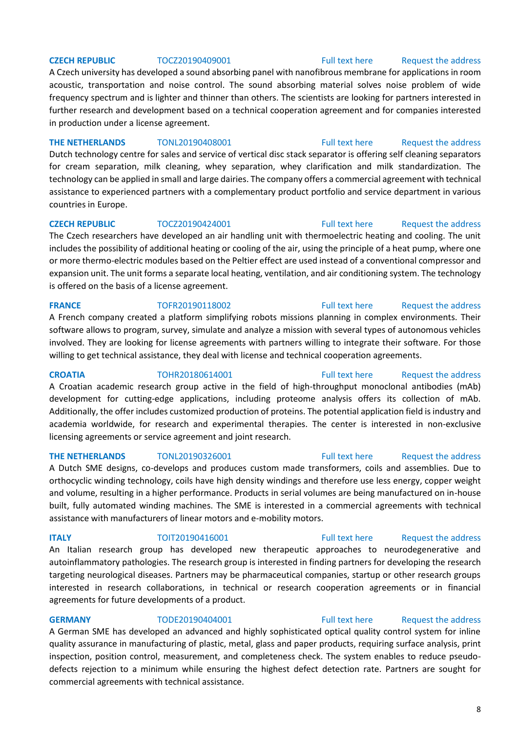## **CZECH REPUBLIC** TOCZ20190409001 [Full text here](https://een.ec.europa.eu/tools/services/PRO/Profile/Detail/50db1b4f-1b94-4f20-8add-3e7cbd65260c) Request the address

A Czech university has developed a sound absorbing panel with nanofibrous membrane for applications in room acoustic, transportation and noise control. The sound absorbing material solves noise problem of wide frequency spectrum and is lighter and thinner than others. The scientists are looking for partners interested in further research and development based on a technical cooperation agreement and for companies interested in production under a license agreement.

## **THE NETHERLANDS** TONL20190408001 [Full text here](https://een.ec.europa.eu/tools/services/PRO/Profile/Detail/5ba8bc47-a676-43cb-9519-79ff82774def) Request the address

Dutch technology centre for sales and service of vertical disc stack separator is offering self cleaning separators for cream separation, milk cleaning, whey separation, whey clarification and milk standardization. The technology can be applied in small and large dairies. The company offers a commercial agreement with technical assistance to experienced partners with a complementary product portfolio and service department in various countries in Europe.

## **CZECH REPUBLIC** TOCZ20190424001 [Full text here](https://een.ec.europa.eu/tools/services/PRO/Profile/Detail/6e3bc96f-5b76-4e17-8f2e-a93119177812) Request the address The Czech researchers have developed an air handling unit with thermoelectric heating and cooling. The unit

includes the possibility of additional heating or cooling of the air, using the principle of a heat pump, where one or more thermo-electric modules based on the Peltier effect are used instead of a conventional compressor and expansion unit. The unit forms a separate local heating, ventilation, and air conditioning system. The technology is offered on the basis of a license agreement.

A French company created a platform simplifying robots missions planning in complex environments. Their software allows to program, survey, simulate and analyze a mission with several types of autonomous vehicles involved. They are looking for license agreements with partners willing to integrate their software. For those willing to get technical assistance, they deal with license and technical cooperation agreements.

**CROATIA** TOHR20180614001 [Full text here](https://een.ec.europa.eu/tools/services/PRO/Profile/Detail/dd7edbaf-937e-47cb-a43a-a6213e17291e) Request the address A Croatian academic research group active in the field of high-throughput monoclonal antibodies (mAb) development for cutting-edge applications, including proteome analysis offers its collection of mAb. Additionally, the offer includes customized production of proteins. The potential application field is industry and academia worldwide, for research and experimental therapies. The center is interested in non-exclusive licensing agreements or service agreement and joint research.

A Dutch SME designs, co-develops and produces custom made transformers, coils and assemblies. Due to orthocyclic winding technology, coils have high density windings and therefore use less energy, copper weight and volume, resulting in a higher performance. Products in serial volumes are being manufactured on in-house built, fully automated winding machines. The SME is interested in a commercial agreements with technical assistance with manufacturers of linear motors and e-mobility motors.

**ITALY TOIT20190416001** [Full text here](https://een.ec.europa.eu/tools/services/PRO/Profile/Detail/348a1936-e738-449f-aa3d-ad19b5e84ec7) Request the address

commercial agreements with technical assistance.

An Italian research group has developed new therapeutic approaches to neurodegenerative and autoinflammatory pathologies. The research group is interested in finding partners for developing the research targeting neurological diseases. Partners may be pharmaceutical companies, startup or other research groups interested in research collaborations, in technical or research cooperation agreements or in financial agreements for future developments of a product.

## **GERMANY** TODE20190404001 [Full text here](https://een.ec.europa.eu/tools/services/PRO/Profile/Detail/b9612f25-672d-45d2-9cd5-102af825c4ca) Request the address A German SME has developed an advanced and highly sophisticated optical quality control system for inline quality assurance in manufacturing of plastic, metal, glass and paper products, requiring surface analysis, print inspection, position control, measurement, and completeness check. The system enables to reduce pseudodefects rejection to a minimum while ensuring the highest defect detection rate. Partners are sought for

## **FRANCE** TOFR20190118002 [Full text here](https://een.ec.europa.eu/tools/services/PRO/Profile/Detail/6d35d554-d968-4554-a239-6c954c260934) Request the address

## **THE NETHERLANDS** TONL20190326001 [Full text here](https://een.ec.europa.eu/tools/services/PRO/Profile/Detail/be511cf5-55d7-449f-96ce-0e9a1333bb4f) Request the address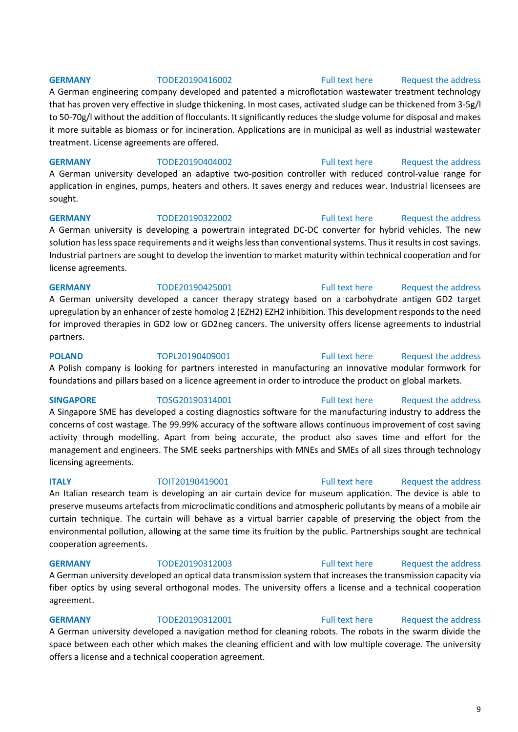**GERMANY** TODE20190416002 [Full text here](https://een.ec.europa.eu/tools/services/PRO/Profile/Detail/8c00d114-d09e-433d-b89a-19728d7f9fc6) Request the address

A German engineering company developed and patented a microflotation wastewater treatment technology that has proven very effective in sludge thickening. In most cases, activated sludge can be thickened from 3-5g/l to 50-70g/l without the addition of flocculants. It significantly reduces the sludge volume for disposal and makes it more suitable as biomass or for incineration. Applications are in municipal as well as industrial wastewater treatment. License agreements are offered.

**GERMANY** TODE20190404002 [Full text here](https://een.ec.europa.eu/tools/services/PRO/Profile/Detail/c4c459bb-d565-4696-b0a1-c3a7986130f1) Request the address A German university developed an adaptive two-position controller with reduced control-value range for application in engines, pumps, heaters and others. It saves energy and reduces wear. Industrial licensees are sought.

## **GERMANY** TODE20190322002 [Full text here](https://een.ec.europa.eu/tools/services/PRO/Profile/Detail/4beca25b-412c-4b89-83d7-e53717310e3a) Request the address A German university is developing a powertrain integrated DC-DC converter for hybrid vehicles. The new solution has less space requirements and it weighs less than conventional systems. Thus it results in cost savings. Industrial partners are sought to develop the invention to market maturity within technical cooperation and for license agreements.

**GERMANY** TODE20190425001 [Full text here](https://een.ec.europa.eu/tools/services/PRO/Profile/Detail/32371531-3bef-4770-83a9-daae88d0d073) Request the address A German university developed a cancer therapy strategy based on a carbohydrate antigen GD2 target upregulation by an enhancer of zeste homolog 2 (EZH2) EZH2 inhibition. This development responds to the need for improved therapies in GD2 low or GD2neg cancers. The university offers license agreements to industrial partners.

**POLAND** TOPL20190409001 [Full text here](https://een.ec.europa.eu/tools/services/PRO/Profile/Detail/924b53b8-40ad-4794-8416-c157b157e09d) Request the address A Polish company is looking for partners interested in manufacturing an innovative modular formwork for foundations and pillars based on a licence agreement in order to introduce the product on global markets.

A Singapore SME has developed a costing diagnostics software for the manufacturing industry to address the concerns of cost wastage. The 99.99% accuracy of the software allows continuous improvement of cost saving activity through modelling. Apart from being accurate, the product also saves time and effort for the management and engineers. The SME seeks partnerships with MNEs and SMEs of all sizes through technology licensing agreements.

## **ITALY TOIT20190419001** [Full text here](https://een.ec.europa.eu/tools/services/PRO/Profile/Detail/c8a23869-264e-460b-8675-5aa8e5e257a8) Request the address

An Italian research team is developing an air curtain device for museum application. The device is able to preserve museums artefacts from microclimatic conditions and atmospheric pollutants by means of a mobile air curtain technique. The curtain will behave as a virtual barrier capable of preserving the object from the environmental pollution, allowing at the same time its fruition by the public. Partnerships sought are technical cooperation agreements.

**GERMANY** TODE20190312003 [Full text here](https://een.ec.europa.eu/tools/services/PRO/Profile/Detail/0873a1af-5fc6-4c41-b150-e69e8815571a) Request the address

A German university developed an optical data transmission system that increases the transmission capacity via fiber optics by using several orthogonal modes. The university offers a license and a technical cooperation agreement.

## **GERMANY** TODE20190312001 [Full text here](https://een.ec.europa.eu/tools/services/PRO/Profile/Detail/44fb852f-85c9-4ba8-bba1-275596d7ef3e) Request the address A German university developed a navigation method for cleaning robots. The robots in the swarm divide the space between each other which makes the cleaning efficient and with low multiple coverage. The university offers a license and a technical cooperation agreement.

9

## **SINGAPORE** TOSG20190314001 [Full text here](https://een.ec.europa.eu/tools/services/PRO/Profile/Detail/96a8599b-8ea3-4717-ae4f-b0042e759f05) Request the address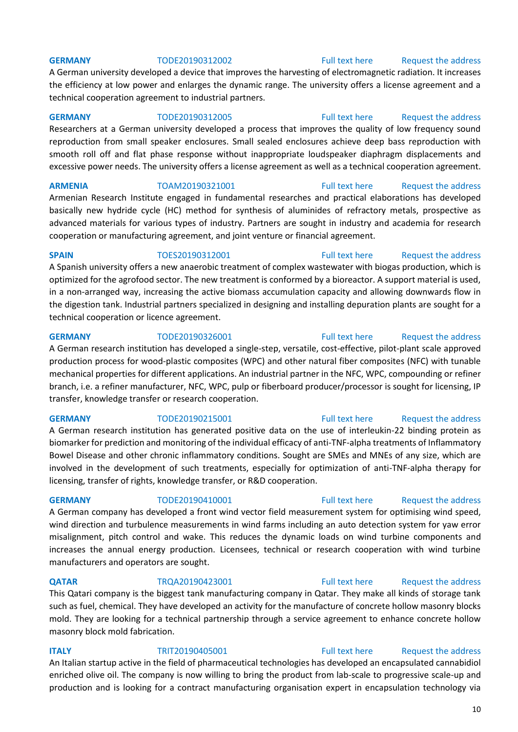A German university developed a device that improves the harvesting of electromagnetic radiation. It increases the efficiency at low power and enlarges the dynamic range. The university offers a license agreement and a technical cooperation agreement to industrial partners.

## GERMANY **TODE20190312005** [Full text here](https://een.ec.europa.eu/tools/services/PRO/Profile/Detail/413fcf32-1502-42c8-812c-23c98e3e8682) Request the address

Researchers at a German university developed a process that improves the quality of low frequency sound reproduction from small speaker enclosures. Small sealed enclosures achieve deep bass reproduction with smooth roll off and flat phase response without inappropriate loudspeaker diaphragm displacements and excessive power needs. The university offers a license agreement as well as a technical cooperation agreement.

## **ARMENIA** TOAM20190321001 [Full text here](https://een.ec.europa.eu/tools/services/PRO/Profile/Detail/56d15393-676c-497c-bc65-ebb129efbfaf) [Request the address](http://www.een.bg/index.php?option=com_rsform&formId=13)

Armenian Research Institute engaged in fundamental researches and practical elaborations has developed basically new hydride cycle (HC) method for synthesis of aluminides of refractory metals, prospective as advanced materials for various types of industry. Partners are sought in industry and academia for research cooperation or manufacturing agreement, and joint venture or financial agreement.

## **SPAIN** TOES20190312001 [Full text here](https://een.ec.europa.eu/tools/services/PRO/Profile/Detail/2d03f06c-f8b2-4a3d-be49-69ad39ae90ba) Request the address A Spanish university offers a new anaerobic treatment of complex wastewater with biogas production, which is optimized for the agrofood sector. The new treatment is conformed by a bioreactor. A support material is used, in a non-arranged way, increasing the active biomass accumulation capacity and allowing downwards flow in the digestion tank. Industrial partners specialized in designing and installing depuration plants are sought for a technical cooperation or licence agreement.

## **GERMANY** TODE20190326001 [Full text here](https://een.ec.europa.eu/tools/services/PRO/Profile/Detail/31a8edfe-6507-482b-8185-410c0a0d2235) Request the address A German research institution has developed a single-step, versatile, cost-effective, pilot-plant scale approved production process for wood-plastic composites (WPC) and other natural fiber composites (NFC) with tunable mechanical properties for different applications. An industrial partner in the NFC, WPC, compounding or refiner branch, i.e. a refiner manufacturer, NFC, WPC, pulp or fiberboard producer/processor is sought for licensing, IP transfer, knowledge transfer or research cooperation.

A German research institution has generated positive data on the use of interleukin-22 binding protein as biomarker for prediction and monitoring of the individual efficacy of anti-TNF-alpha treatments of Inflammatory Bowel Disease and other chronic inflammatory conditions. Sought are SMEs and MNEs of any size, which are involved in the development of such treatments, especially for optimization of anti-TNF-alpha therapy for licensing, transfer of rights, knowledge transfer, or R&D cooperation.

## **GERMANY** TODE20190410001 [Full text here](https://een.ec.europa.eu/tools/services/PRO/Profile/Detail/744e7e51-12eb-4a53-923d-a00387ef5df6) Request the address

A German company has developed a front wind vector field measurement system for optimising wind speed, wind direction and turbulence measurements in wind farms including an auto detection system for yaw error misalignment, pitch control and wake. This reduces the dynamic loads on wind turbine components and increases the annual energy production. Licensees, technical or research cooperation with wind turbine manufacturers and operators are sought.

## **QATAR** TRQA20190423001 [Full text here](https://een.ec.europa.eu/tools/services/PRO/Profile/Detail/67c0ed8a-77a5-4362-8a53-e65d2109cfd9) Request the address

This Qatari company is the biggest tank manufacturing company in Qatar. They make all kinds of storage tank such as fuel, chemical. They have developed an activity for the manufacture of concrete hollow masonry blocks mold. They are looking for a technical partnership through a service agreement to enhance concrete hollow masonry block mold fabrication.

## **ITALY** TRIT20190405001 [Full text here](https://een.ec.europa.eu/tools/services/PRO/Profile/Detail/6b5fa22d-269b-4909-b9a5-5cbc16a376be) Request the address An Italian startup active in the field of pharmaceutical technologies has developed an encapsulated cannabidiol enriched olive oil. The company is now willing to bring the product from lab-scale to progressive scale-up and

## production and is looking for a contract manufacturing organisation expert in encapsulation technology via

## 10

## **GERMANY** TODE20190312002 [Full text here](https://een.ec.europa.eu/tools/services/PRO/Profile/Detail/cea92416-6097-4b24-aa72-d4d05f0fd828) Request the address

## **GERMANY** TODE20190215001 [Full text here](https://een.ec.europa.eu/tools/services/PRO/Profile/Detail/ecd5d809-e7b3-44dd-9ec9-693e15253132) Request the address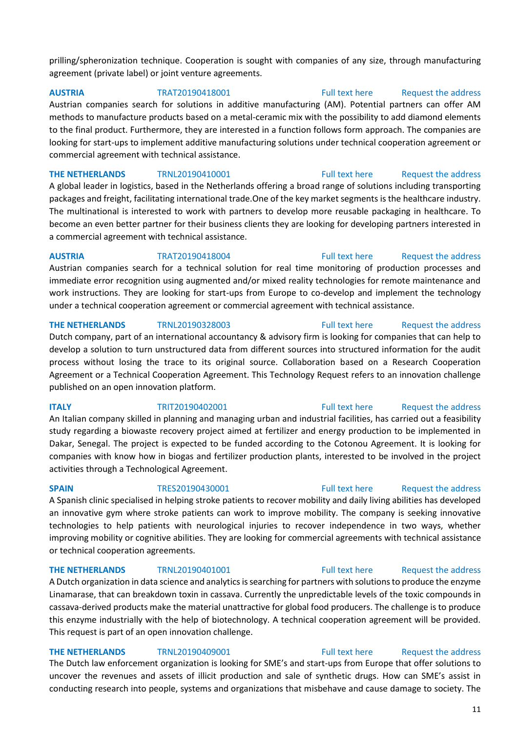prilling/spheronization technique. Cooperation is sought with companies of any size, through manufacturing

Austrian companies search for solutions in additive manufacturing (AM). Potential partners can offer AM methods to manufacture products based on a metal-ceramic mix with the possibility to add diamond elements to the final product. Furthermore, they are interested in a function follows form approach. The companies are looking for start-ups to implement additive manufacturing solutions under technical cooperation agreement or commercial agreement with technical assistance.

**THE NETHERLANDS** TRNL20190410001 [Full text here](https://een.ec.europa.eu/tools/services/PRO/Profile/Detail/adccb5e6-a0e6-42b5-b528-80d47ead4d7e) Request the address A global leader in logistics, based in the Netherlands offering a broad range of solutions including transporting packages and freight, facilitating international trade.One of the key market segments is the healthcare industry. The multinational is interested to work with partners to develop more reusable packaging in healthcare. To become an even better partner for their business clients they are looking for developing partners interested in a commercial agreement with technical assistance.

**AUSTRIA** TRAT20190418004 [Full text here](https://een.ec.europa.eu/tools/services/PRO/Profile/Detail/4adaec6b-27a6-4b48-b987-ca3c77b7e71d) [Request the address](http://www.een.bg/index.php?option=com_rsform&formId=13)  Austrian companies search for a technical solution for real time monitoring of production processes and immediate error recognition using augmented and/or mixed reality technologies for remote maintenance and work instructions. They are looking for start-ups from Europe to co-develop and implement the technology under a technical cooperation agreement or commercial agreement with technical assistance.

## **THE NETHERLANDS** TRNL20190328003 [Full text here](https://een.ec.europa.eu/tools/services/PRO/Profile/Detail/ad9de7a5-fcb1-4ba6-bf74-60126997f084) Request the address

agreement (private label) or joint venture agreements.

Dutch company, part of an international accountancy & advisory firm is looking for companies that can help to develop a solution to turn unstructured data from different sources into structured information for the audit process without losing the trace to its original source. Collaboration based on a Research Cooperation Agreement or a Technical Cooperation Agreement. This Technology Request refers to an innovation challenge published on an open innovation platform.

**ITALY TRIT20190402001** [Full text here](https://een.ec.europa.eu/tools/services/PRO/Profile/Detail/f111bfd4-3531-495c-b2e7-8f2bfdc3bd63) Request the address An Italian company skilled in planning and managing urban and industrial facilities, has carried out a feasibility study regarding a biowaste recovery project aimed at fertilizer and energy production to be implemented in Dakar, Senegal. The project is expected to be funded according to the Cotonou Agreement. It is looking for companies with know how in biogas and fertilizer production plants, interested to be involved in the project

## A Spanish clinic specialised in helping stroke patients to recover mobility and daily living abilities has developed an innovative gym where stroke patients can work to improve mobility. The company is seeking innovative technologies to help patients with neurological injuries to recover independence in two ways, whether improving mobility or cognitive abilities. They are looking for commercial agreements with technical assistance or technical cooperation agreements.

## **THE NETHERLANDS** TRNL20190401001 [Full text here](https://een.ec.europa.eu/tools/services/PRO/Profile/Detail/b248c481-c503-4bae-a597-7e3b3b597422) Request the address

A Dutch organization in data science and analytics is searching for partners with solutions to produce the enzyme Linamarase, that can breakdown toxin in cassava. Currently the unpredictable levels of the toxic compounds in cassava-derived products make the material unattractive for global food producers. The challenge is to produce this enzyme industrially with the help of biotechnology. A technical cooperation agreement will be provided. This request is part of an open innovation challenge.

## **THE NETHERLANDS** TRNL20190409001 [Full text here](https://een.ec.europa.eu/tools/services/PRO/Profile/Detail/964d7a38-e8f5-425d-bba0-e1b08d1fd284) Request the address

activities through a Technological Agreement.

The Dutch law enforcement organization is looking for SME's and start-ups from Europe that offer solutions to uncover the revenues and assets of illicit production and sale of synthetic drugs. How can SME's assist in conducting research into people, systems and organizations that misbehave and cause damage to society. The

## **SPAIN** TRES20190430001 [Full text here](https://een.ec.europa.eu/tools/services/PRO/Profile/Detail/563a726b-f8cd-4b8f-9b2a-feee104fbf8c) Request the address

## 11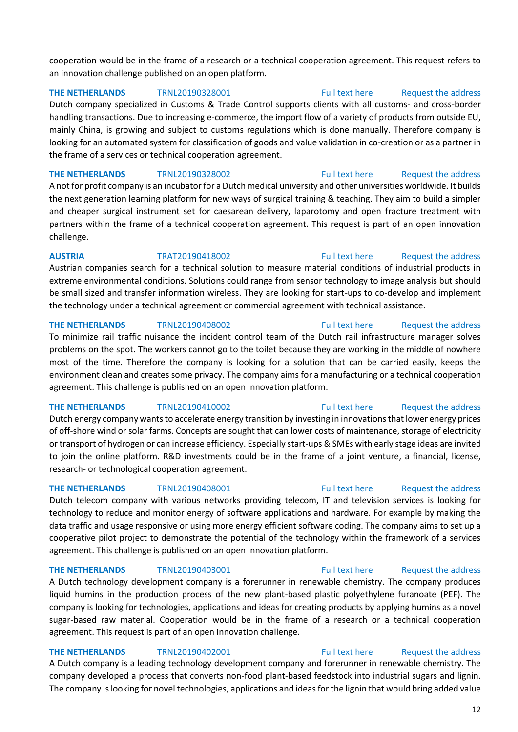## cooperation would be in the frame of a research or a technical cooperation agreement. This request refers to an innovation challenge published on an open platform.

**THE NETHERLANDS** TRNL20190328001 [Full text here](https://een.ec.europa.eu/tools/services/PRO/Profile/Detail/8d7e7111-304f-4d43-888f-cc28c3f09ec8) Request the address

Dutch company specialized in Customs & Trade Control supports clients with all customs- and cross-border handling transactions. Due to increasing e-commerce, the import flow of a variety of products from outside EU, mainly China, is growing and subject to customs regulations which is done manually. Therefore company is looking for an automated system for classification of goods and value validation in co-creation or as a partner in the frame of a services or technical cooperation agreement.

**THE NETHERLANDS** TRNL20190328002 [Full text here](https://een.ec.europa.eu/tools/services/PRO/Profile/Detail/10c2b23f-de68-442d-ba25-abc8c5a37559) Request the address A not for profit company is an incubator for a Dutch medical university and other universities worldwide. It builds the next generation learning platform for new ways of surgical training & teaching. They aim to build a simpler and cheaper surgical instrument set for caesarean delivery, laparotomy and open fracture treatment with partners within the frame of a technical cooperation agreement. This request is part of an open innovation challenge.

## **AUSTRIA** TRAT20190418002 [Full text here](https://een.ec.europa.eu/tools/services/PRO/Profile/Detail/40066cf4-53b5-4dd0-ade2-390aa5f7ac6a) [Request the address](http://www.een.bg/index.php?option=com_rsform&formId=13)

Austrian companies search for a technical solution to measure material conditions of industrial products in extreme environmental conditions. Solutions could range from sensor technology to image analysis but should be small sized and transfer information wireless. They are looking for start-ups to co-develop and implement the technology under a technical agreement or commercial agreement with technical assistance.

## **THE NETHERLANDS** TRNL20190408002 [Full text here](https://een.ec.europa.eu/tools/services/PRO/Profile/Detail/ab4a24a8-d630-4279-8950-cec61fffe922) Request the address

To minimize rail traffic nuisance the incident control team of the Dutch rail infrastructure manager solves problems on the spot. The workers cannot go to the toilet because they are working in the middle of nowhere most of the time. Therefore the company is looking for a solution that can be carried easily, keeps the environment clean and creates some privacy. The company aims for a manufacturing or a technical cooperation agreement. This challenge is published on an open innovation platform.

Dutch energy company wants to accelerate energy transition by investing in innovations that lower energy prices of off-shore wind or solar farms. Concepts are sought that can lower costs of maintenance, storage of electricity or transport of hydrogen or can increase efficiency. Especially start-ups & SMEs with early stage ideas are invited to join the online platform. R&D investments could be in the frame of a joint venture, a financial, license, research- or technological cooperation agreement.

Dutch telecom company with various networks providing telecom, IT and television services is looking for technology to reduce and monitor energy of software applications and hardware. For example by making the data traffic and usage responsive or using more energy efficient software coding. The company aims to set up a cooperative pilot project to demonstrate the potential of the technology within the framework of a services agreement. This challenge is published on an open innovation platform.

## **THE NETHERLANDS** TRNL20190403001 [Full text here](https://een.ec.europa.eu/tools/services/PRO/Profile/Detail/ce6f5ae7-7b0a-4ffd-b785-aafa30e74d37) Request the address

A Dutch technology development company is a forerunner in renewable chemistry. The company produces liquid humins in the production process of the new plant-based plastic polyethylene furanoate (PEF). The company is looking for technologies, applications and ideas for creating products by applying humins as a novel sugar-based raw material. Cooperation would be in the frame of a research or a technical cooperation agreement. This request is part of an open innovation challenge.

## **THE NETHERLANDS** TRNL20190402001 [Full text here](https://een.ec.europa.eu/tools/services/PRO/Profile/Detail/2c3b840a-61e1-4ad0-97e1-4eaf73f16b07) Request the address

A Dutch company is a leading technology development company and forerunner in renewable chemistry. The company developed a process that converts non-food plant-based feedstock into industrial sugars and lignin. The company is looking for novel technologies, applications and ideas for the lignin that would bring added value

## **THE NETHERLANDS** TRNL20190408001 [Full text here](https://een.ec.europa.eu/tools/services/PRO/Profile/Detail/1cd8d36f-6857-402b-82c5-ac3c9268f390) Request the address

**THE NETHERLANDS** TRNL20190410002 [Full text here](https://een.ec.europa.eu/tools/services/PRO/Profile/Detail/f5c7adf9-6d2f-4962-9881-00e70d8d1bc6) Request the address